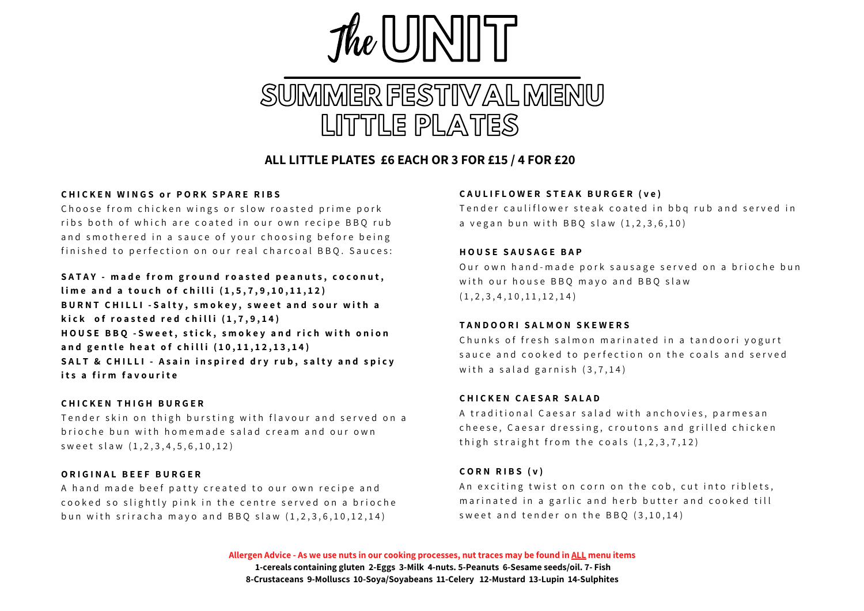

## **ALL LITTLE PLATES £6 EACH OR 3 FOR £15 / 4 FOR £20**

#### CHICKEN WINGS or PORK SPARE RIBS

Choose from chicken wings or slow roasted prime pork ribs both of which are coated in our own recipe BBO rub and smothered in a sauce of your choosing before being finished to perfection on our real charcoal BBQ. Sauces:

## SATAY - made from ground roasted peanuts, coconut,

lime and a touch of chilli  $(1.5.7.9.10.11.12)$ BURNT CHILLI - Salty, smokey, sweet and sour with a kick of roasted red chilli  $(1,7,9,14)$ HOUSE BBQ -Sweet, stick, smokey and rich with onion and gentle heat of chilli (10,11,12,13,14) SALT & CHILLI - Asain inspired dry rub, salty and spicy **i t s a f i r m f a v o u r i t e**

#### **C H I C K E N T H I G H B U R G E R**

Tender skin on thigh bursting with flavour and served on a brioche bun with homemade salad cream and our own s w e e t s l a w  $(1, 2, 3, 4, 5, 6, 10, 12)$ 

#### **O R I G I N A L B E E F B U R G E R**

A hand made beef patty created to our own recipe and cooked so slightly pink in the centre served on a brioche bun with sriracha mayo and BBO slaw  $(1, 2, 3, 6, 10, 12, 14)$ 

#### CAULIFLOWER STEAK BURGER (ve)

Tender cauliflower steak coated in bbg rub and served in a vegan bun with BBO slaw  $(1.2.3.6.10)$ 

#### **H O U S E S A U S A G E B A P**

Our own hand-made pork sausage served on a brioche bun with our house BBO mavo and BBO slaw  $(1, 2, 3, 4, 10, 11, 12, 14)$ 

#### **T A N D O O R I S A L M O N S K E W E R S**

Chunks of fresh salmon marinated in a tandoori vogurt sauce and cooked to perfection on the coals and served with a salad garnish  $(3.7.14)$ 

#### **C H I C K E N C A E S A R S A L A D**

A traditional Caesar salad with anchovies, parmesan cheese, Caesar dressing, croutons and grilled chicken thigh straight from the coals  $(1.2.3.7.12)$ 

## $CO$  **RN RIBS** (**v**)

An exciting twist on corn on the cob, cut into riblets, marinated in a garlic and herb butter and cooked till sweet and tender on the BBO  $(3.10.14)$ 

Allergen Advice - As we use nuts in our cooking processes, nut traces may be found in ALL menu items **1-cereals containing gluten 2-Eggs 3-Milk 4-nuts. 5-Peanuts 6-Sesame seeds/oil. 7- Fish 8-Crustaceans 9-Molluscs 10-Soya/Soyabeans 11-Celery 12-Mustard 13-Lupin 14-Sulphites**